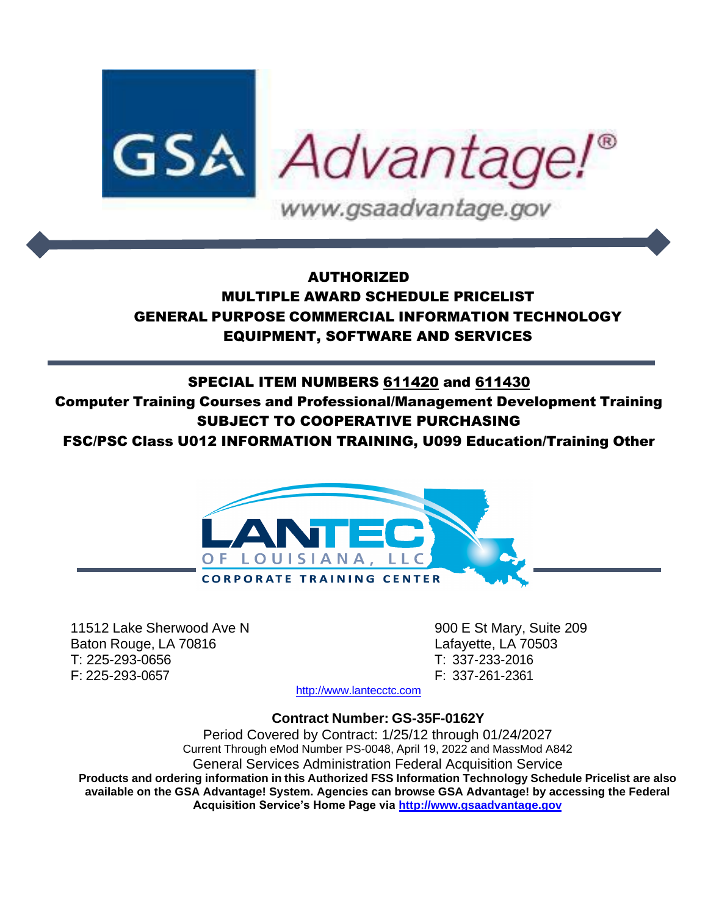

# AUTHORIZED MULTIPLE AWARD SCHEDULE PRICELIST GENERAL PURPOSE COMMERCIAL INFORMATION TECHNOLOGY EQUIPMENT, SOFTWARE AND SERVICES

# SPECIAL ITEM NUMBERS 611420 and 611430

Computer Training Courses and Professional/Management Development Training SUBJECT TO COOPERATIVE PURCHASING

FSC/PSC Class U012 INFORMATION TRAINING, U099 Education/Training Other



11512 Lake Sherwood Ave N 900 E St Mary, Suite 209 Baton Rouge, LA 70816 **Latayette**, LA 70503 T: 225-293-0656 T: 337-233-2016 F: 225-293-0657 F: 337-261-2361

[http://www.lantecctc.com](http://www.lantecctc.com/)

**Contract Number: GS-35F-0162Y**

Period Covered by Contract: 1/25/12 through 01/24/2027 Current Through eMod Number PS-0048, April 19, 2022 and MassMod A842 General Services Administration Federal Acquisition Service **Products and ordering information in this Authorized FSS Information Technology Schedule Pricelist are also available on the GSA Advantage! System. Agencies can browse GSA Advantage! by accessing the Federal Acquisition Service's Home Page via [http://www.gsaadvantage.gov](http://www.gsaadvantage.gov/)**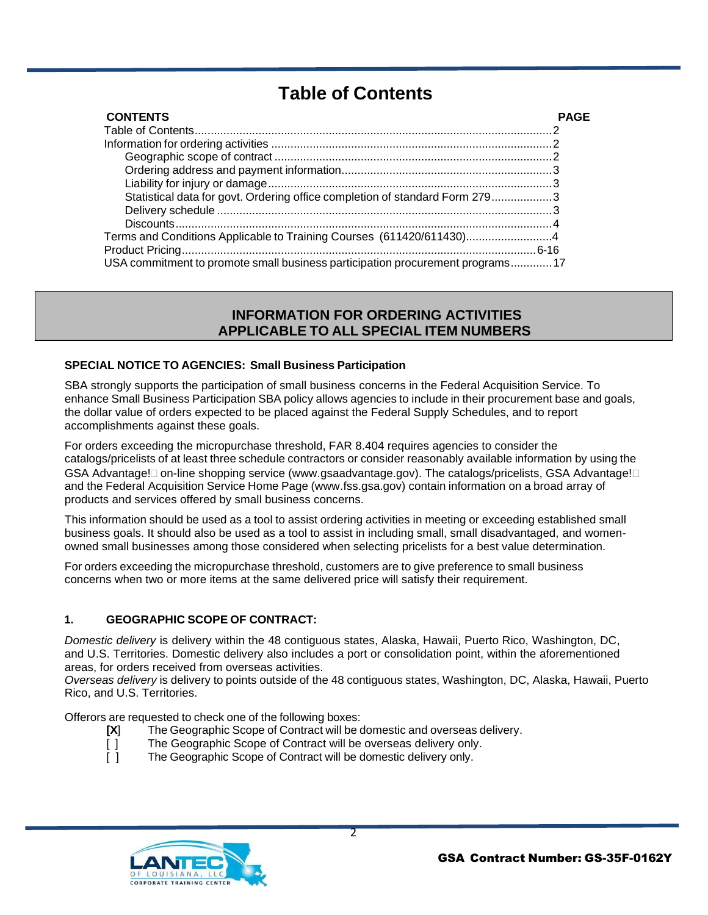# **Table of Contents**

<span id="page-1-0"></span>

| <b>CONTENTS</b>                                                                |  |
|--------------------------------------------------------------------------------|--|
|                                                                                |  |
|                                                                                |  |
|                                                                                |  |
|                                                                                |  |
|                                                                                |  |
| Statistical data for govt. Ordering office completion of standard Form 2793    |  |
|                                                                                |  |
|                                                                                |  |
|                                                                                |  |
|                                                                                |  |
| USA commitment to promote small business participation procurement programs 17 |  |

# **INFORMATION FOR ORDERING ACTIVITIES APPLICABLE TO ALL SPECIAL ITEM NUMBERS**

# **SPECIAL NOTICE TO AGENCIES: Small Business Participation**

SBA strongly supports the participation of small business concerns in the Federal Acquisition Service. To enhance Small Business Participation SBA policy allows agencies to include in their procurement base and goals, the dollar value of orders expected to be placed against the Federal Supply Schedules, and to report accomplishments against these goals.

For orders exceeding the micropurchase threshold, FAR 8.404 requires agencies to consider the catalogs/pricelists of at least three schedule contractors or consider reasonably available information by using the GSA Advantage! on-line shopping service (www.gsaadvantage.gov). The catalogs/pricelists, GSA Advantage!  $\square$ and the Federal Acquisition Service Home Page (www.fss.gsa.gov) contain information on a broad array of products and services offered by small business concerns.

This information should be used as a tool to assist ordering activities in meeting or exceeding established small business goals. It should also be used as a tool to assist in including small, small disadvantaged, and womenowned small businesses among those considered when selecting pricelists for a best value determination.

For orders exceeding the micropurchase threshold, customers are to give preference to small business concerns when two or more items at the same delivered price will satisfy their requirement.

# **1. GEOGRAPHIC SCOPE OF CONTRACT:**

*Domestic delivery* is delivery within the 48 contiguous states, Alaska, Hawaii, Puerto Rico, Washington, DC, and U.S. Territories. Domestic delivery also includes a port or consolidation point, within the aforementioned areas, for orders received from overseas activities.

*Overseas delivery* is delivery to points outside of the 48 contiguous states, Washington, DC, Alaska, Hawaii, Puerto Rico, and U.S. Territories.

Offerors are requested to check one of the following boxes:

- [X] The Geographic Scope of Contract will be domestic and overseas delivery.<br>
[] The Geographic Scope of Contract will be overseas delivery only.<br>
[] The Geographic Scope of Contract will be domestic delivery only.
	- The Geographic Scope of Contract will be overseas delivery only.
	- The Geographic Scope of Contract will be domestic delivery only.

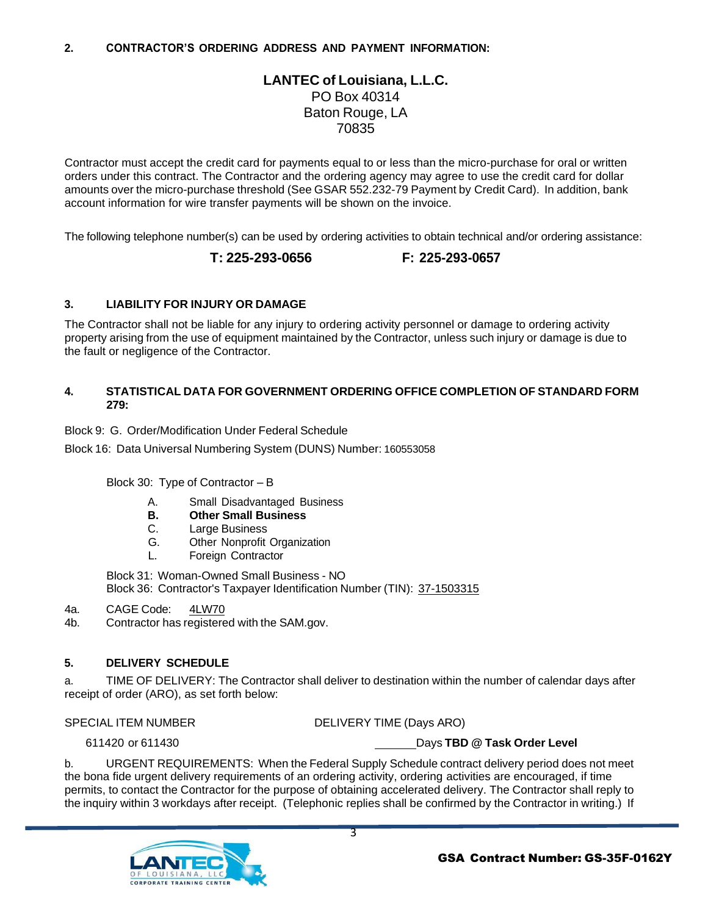# **LANTEC of Louisiana, L.L.C.** PO Box 40314 Baton Rouge, LA 70835

Contractor must accept the credit card for payments equal to or less than the micro-purchase for oral or written orders under this contract. The Contractor and the ordering agency may agree to use the credit card for dollar amounts over the micro-purchase threshold (See GSAR 552.232-79 Payment by Credit Card). In addition, bank account information for wire transfer payments will be shown on the invoice.

The following telephone number(s) can be used by ordering activities to obtain technical and/or ordering assistance:

#### **T: 225-293-0656 F: 225-293-0657**

# **3. LIABILITY FOR INJURY OR DAMAGE**

The Contractor shall not be liable for any injury to ordering activity personnel or damage to ordering activity property arising from the use of equipment maintained by the Contractor, unless such injury or damage is due to the fault or negligence of the Contractor.

#### **4. STATISTICAL DATA FOR GOVERNMENT ORDERING OFFICE COMPLETION OF STANDARD FORM 279:**

Block 9: G. Order/Modification Under Federal Schedule

Block 16: Data Universal Numbering System (DUNS) Number: 160553058

Block 30: Type of Contractor – B

- A. Small Disadvantaged Business
- **B. Other Small Business**
- C. Large Business
- G. Other Nonprofit Organization
- L. Foreign Contractor

Block 31: Woman-Owned Small Business - NO Block 36: Contractor's Taxpayer Identification Number (TIN): 37-1503315

- 4a. CAGE Code: 4LW70
- 4b. Contractor has registered with the SAM.gov.

# **5. DELIVERY SCHEDULE**

a. TIME OF DELIVERY: The Contractor shall deliver to destination within the number of calendar days after receipt of order (ARO), as set forth below:

SPECIAL ITEM NUMBER DELIVERY TIME (Days ARO)

# 611420 or 611430 Days **TBD @ Task Order Level**

b. URGENT REQUIREMENTS: When the Federal Supply Schedule contract delivery period does not meet the bona fide urgent delivery requirements of an ordering activity, ordering activities are encouraged, if time permits, to contact the Contractor for the purpose of obtaining accelerated delivery. The Contractor shall reply to the inquiry within 3 workdays after receipt. (Telephonic replies shall be confirmed by the Contractor in writing.) If

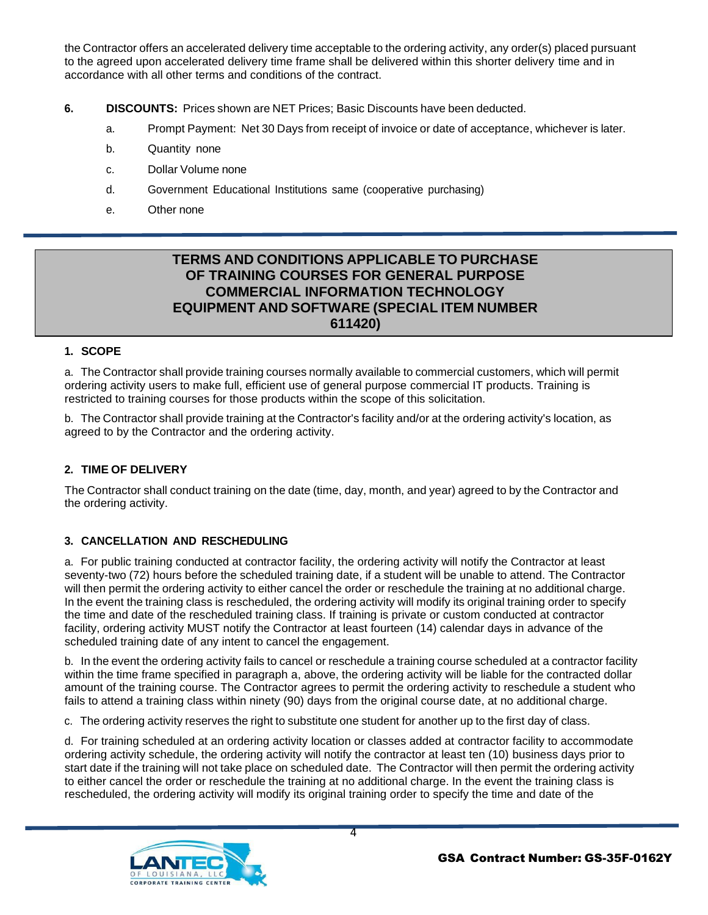the Contractor offers an accelerated delivery time acceptable to the ordering activity, any order(s) placed pursuant to the agreed upon accelerated delivery time frame shall be delivered within this shorter delivery time and in accordance with all other terms and conditions of the contract.

- **6. DISCOUNTS:** Prices shown are NET Prices; Basic Discounts have been deducted.
	- a. Prompt Payment: Net 30 Days from receipt of invoice or date of acceptance, whichever is later.
	- b. Quantity none
	- c. Dollar Volume none
	- d. Government Educational Institutions same (cooperative purchasing)
	- e. Other none

# **TERMS AND CONDITIONS APPLICABLE TO PURCHASE OF TRAINING COURSES FOR GENERAL PURPOSE COMMERCIAL INFORMATION TECHNOLOGY EQUIPMENT AND SOFTWARE (SPECIAL ITEM NUMBER 611420)**

# **1. SCOPE**

a. The Contractor shall provide training courses normally available to commercial customers, which will permit ordering activity users to make full, efficient use of general purpose commercial IT products. Training is restricted to training courses for those products within the scope of this solicitation.

b. The Contractor shall provide training at the Contractor's facility and/or at the ordering activity's location, as agreed to by the Contractor and the ordering activity.

# **2. TIME OF DELIVERY**

The Contractor shall conduct training on the date (time, day, month, and year) agreed to by the Contractor and the ordering activity.

# **3. CANCELLATION AND RESCHEDULING**

a. For public training conducted at contractor facility, the ordering activity will notify the Contractor at least seventy-two (72) hours before the scheduled training date, if a student will be unable to attend. The Contractor will then permit the ordering activity to either cancel the order or reschedule the training at no additional charge. In the event the training class is rescheduled, the ordering activity will modify its original training order to specify the time and date of the rescheduled training class. If training is private or custom conducted at contractor facility, ordering activity MUST notify the Contractor at least fourteen (14) calendar days in advance of the scheduled training date of any intent to cancel the engagement.

b. In the event the ordering activity fails to cancel or reschedule a training course scheduled at a contractor facility within the time frame specified in paragraph a, above, the ordering activity will be liable for the contracted dollar amount of the training course. The Contractor agrees to permit the ordering activity to reschedule a student who fails to attend a training class within ninety (90) days from the original course date, at no additional charge.

c. The ordering activity reserves the right to substitute one student for another up to the first day of class.

d. For training scheduled at an ordering activity location or classes added at contractor facility to accommodate ordering activity schedule, the ordering activity will notify the contractor at least ten (10) business days prior to start date if the training will not take place on scheduled date. The Contractor will then permit the ordering activity to either cancel the order or reschedule the training at no additional charge. In the event the training class is rescheduled, the ordering activity will modify its original training order to specify the time and date of the

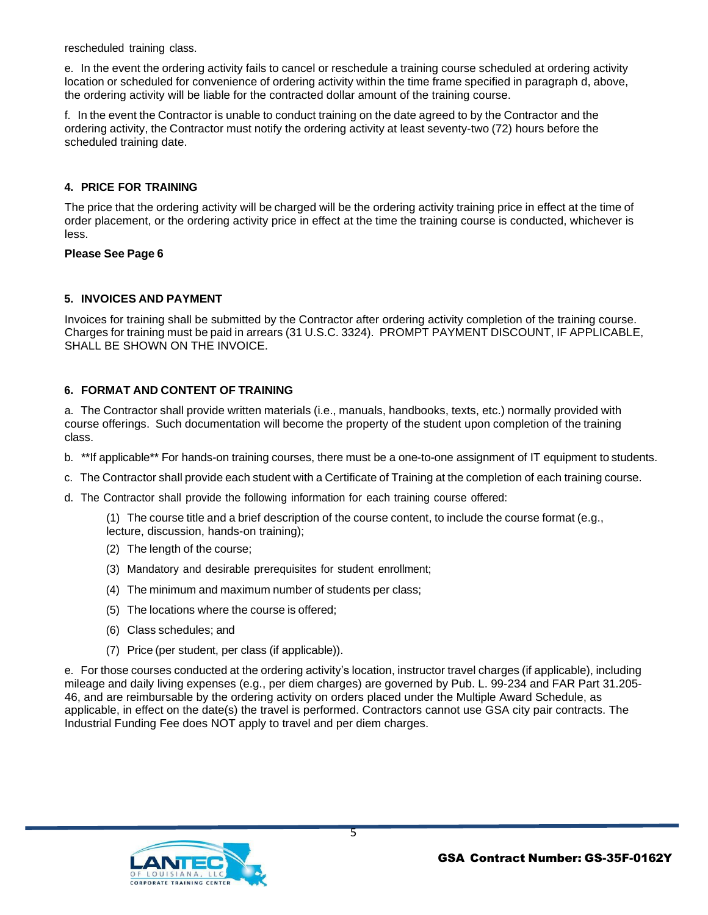rescheduled training class.

e. In the event the ordering activity fails to cancel or reschedule a training course scheduled at ordering activity location or scheduled for convenience of ordering activity within the time frame specified in paragraph d, above, the ordering activity will be liable for the contracted dollar amount of the training course.

f. In the event the Contractor is unable to conduct training on the date agreed to by the Contractor and the ordering activity, the Contractor must notify the ordering activity at least seventy-two (72) hours before the scheduled training date.

#### **4. PRICE FOR TRAINING**

The price that the ordering activity will be charged will be the ordering activity training price in effect at the time of order placement, or the ordering activity price in effect at the time the training course is conducted, whichever is less.

#### **Please See Page 6**

# **5. INVOICES AND PAYMENT**

Invoices for training shall be submitted by the Contractor after ordering activity completion of the training course. Charges for training must be paid in arrears (31 U.S.C. 3324). PROMPT PAYMENT DISCOUNT, IF APPLICABLE, SHALL BE SHOWN ON THE INVOICE.

# **6. FORMAT AND CONTENT OF TRAINING**

a. The Contractor shall provide written materials (i.e., manuals, handbooks, texts, etc.) normally provided with course offerings. Such documentation will become the property of the student upon completion of the training class.

- b. \*\*If applicable\*\* For hands-on training courses, there must be a one-to-one assignment of IT equipment to students.
- c. The Contractor shall provide each student with a Certificate of Training at the completion of each training course.
- d. The Contractor shall provide the following information for each training course offered:

(1) The course title and a brief description of the course content, to include the course format (e.g.,

- lecture, discussion, hands-on training);
- (2) The length of the course;
- (3) Mandatory and desirable prerequisites for student enrollment;
- (4) The minimum and maximum number of students per class;
- (5) The locations where the course is offered;
- (6) Class schedules; and
- (7) Price (per student, per class (if applicable)).

e. For those courses conducted at the ordering activity's location, instructor travel charges (if applicable), including mileage and daily living expenses (e.g., per diem charges) are governed by Pub. L. 99-234 and FAR Part 31.205- 46, and are reimbursable by the ordering activity on orders placed under the Multiple Award Schedule, as applicable, in effect on the date(s) the travel is performed. Contractors cannot use GSA city pair contracts. The Industrial Funding Fee does NOT apply to travel and per diem charges.

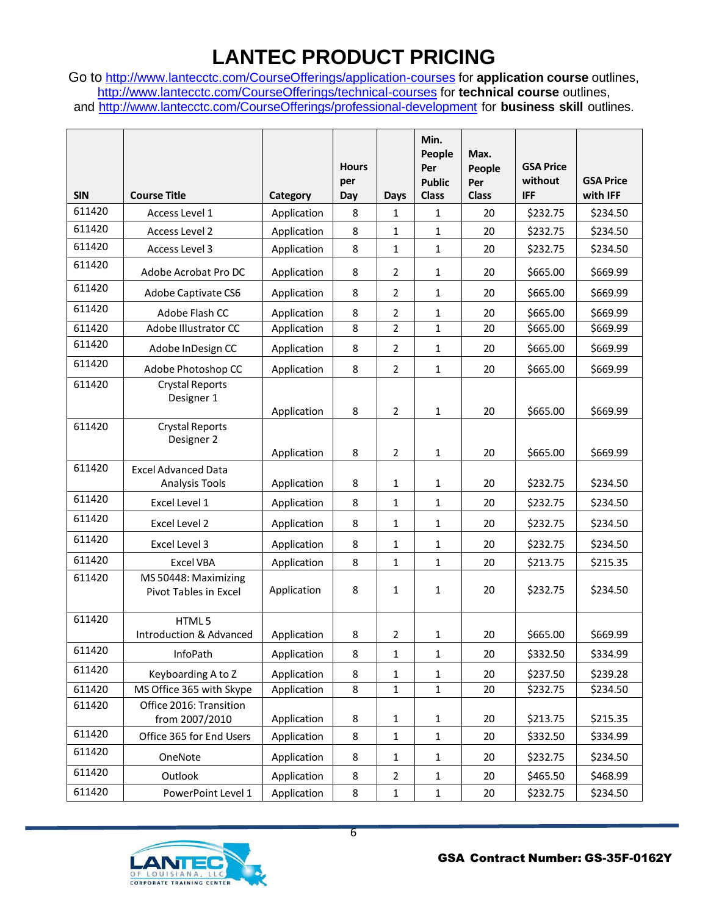# **LANTEC PRODUCT PRICING**

Go to <http://www.lantecctc.com/CourseOfferings/application-courses> for **application course** outlines, <http://www.lantecctc.com/CourseOfferings/technical-courses> for **technical course** outlines, and <http://www.lantecctc.com/CourseOfferings/professional-development> for **business skill** outlines.

|            |                                                     |             | <b>Hours</b><br>per |                | Min.<br>People<br>Per<br><b>Public</b> | Max.<br>People<br>Per | <b>GSA Price</b><br>without | <b>GSA Price</b> |
|------------|-----------------------------------------------------|-------------|---------------------|----------------|----------------------------------------|-----------------------|-----------------------------|------------------|
| <b>SIN</b> | <b>Course Title</b>                                 | Category    | Day                 | <b>Days</b>    | <b>Class</b>                           | <b>Class</b>          | <b>IFF</b>                  | with IFF         |
| 611420     | Access Level 1                                      | Application | 8                   | $\mathbf{1}$   | $\mathbf{1}$                           | 20                    | \$232.75                    | \$234.50         |
| 611420     | Access Level 2                                      | Application | 8                   | 1              | 1                                      | 20                    | \$232.75                    | \$234.50         |
| 611420     | Access Level 3                                      | Application | 8                   | $\mathbf{1}$   | 1                                      | 20                    | \$232.75                    | \$234.50         |
| 611420     | Adobe Acrobat Pro DC                                | Application | 8                   | $\overline{2}$ | 1                                      | 20                    | \$665.00                    | \$669.99         |
| 611420     | Adobe Captivate CS6                                 | Application | 8                   | $\overline{2}$ | 1                                      | 20                    | \$665.00                    | \$669.99         |
| 611420     | Adobe Flash CC                                      | Application | 8                   | $\overline{2}$ | 1                                      | 20                    | \$665.00                    | \$669.99         |
| 611420     | Adobe Illustrator CC                                | Application | 8                   | $\overline{2}$ | 1                                      | 20                    | \$665.00                    | \$669.99         |
| 611420     | Adobe InDesign CC                                   | Application | 8                   | $\overline{2}$ | 1                                      | 20                    | \$665.00                    | \$669.99         |
| 611420     | Adobe Photoshop CC                                  | Application | 8                   | $\overline{2}$ | 1                                      | 20                    | \$665.00                    | \$669.99         |
| 611420     | <b>Crystal Reports</b><br>Designer 1                | Application | 8                   | $\overline{2}$ | 1                                      | 20                    | \$665.00                    | \$669.99         |
| 611420     | <b>Crystal Reports</b><br>Designer 2                | Application | 8                   | $\overline{2}$ | 1                                      | 20                    | \$665.00                    | \$669.99         |
| 611420     | <b>Excel Advanced Data</b><br><b>Analysis Tools</b> | Application | 8                   | $\mathbf{1}$   | 1                                      | 20                    | \$232.75                    | \$234.50         |
| 611420     | Excel Level 1                                       | Application | 8                   | $\mathbf{1}$   | 1                                      | 20                    | \$232.75                    | \$234.50         |
| 611420     | Excel Level 2                                       | Application | 8                   | 1              | 1                                      | 20                    | \$232.75                    | \$234.50         |
| 611420     | Excel Level 3                                       | Application | 8                   | 1              | 1                                      | 20                    | \$232.75                    | \$234.50         |
| 611420     | <b>Excel VBA</b>                                    | Application | 8                   | 1              | 1                                      | 20                    | \$213.75                    | \$215.35         |
| 611420     | MS 50448: Maximizing<br>Pivot Tables in Excel       | Application | 8                   | 1              | 1                                      | 20                    | \$232.75                    | \$234.50         |
| 611420     | HTML5<br><b>Introduction &amp; Advanced</b>         | Application | 8                   | $\overline{2}$ | 1                                      | 20                    | \$665.00                    | \$669.99         |
| 611420     | InfoPath                                            | Application | 8                   | $\mathbf{1}$   | 1                                      | 20                    | \$332.50                    | \$334.99         |
| 611420     | Keyboarding A to Z                                  | Application | 8                   | $\mathbf{1}$   | 1                                      | 20                    | \$237.50                    | \$239.28         |
| 611420     | MS Office 365 with Skype                            | Application | 8                   | $\mathbf{1}$   | $\mathbf{1}$                           | 20                    | \$232.75                    | \$234.50         |
| 611420     | Office 2016: Transition<br>from 2007/2010           | Application | 8                   | $\mathbf{1}$   | 1                                      | 20                    | \$213.75                    | \$215.35         |
| 611420     | Office 365 for End Users                            | Application | 8                   | $\mathbf{1}$   | 1                                      | 20                    | \$332.50                    | \$334.99         |
| 611420     | OneNote                                             | Application | 8                   | 1              | 1                                      | 20                    | \$232.75                    | \$234.50         |
| 611420     | Outlook                                             | Application | 8                   | $\overline{2}$ | 1                                      | 20                    | \$465.50                    | \$468.99         |
| 611420     | PowerPoint Level 1                                  | Application | 8                   | $1\,$          | $\mathbf{1}$                           | 20                    | \$232.75                    | \$234.50         |



6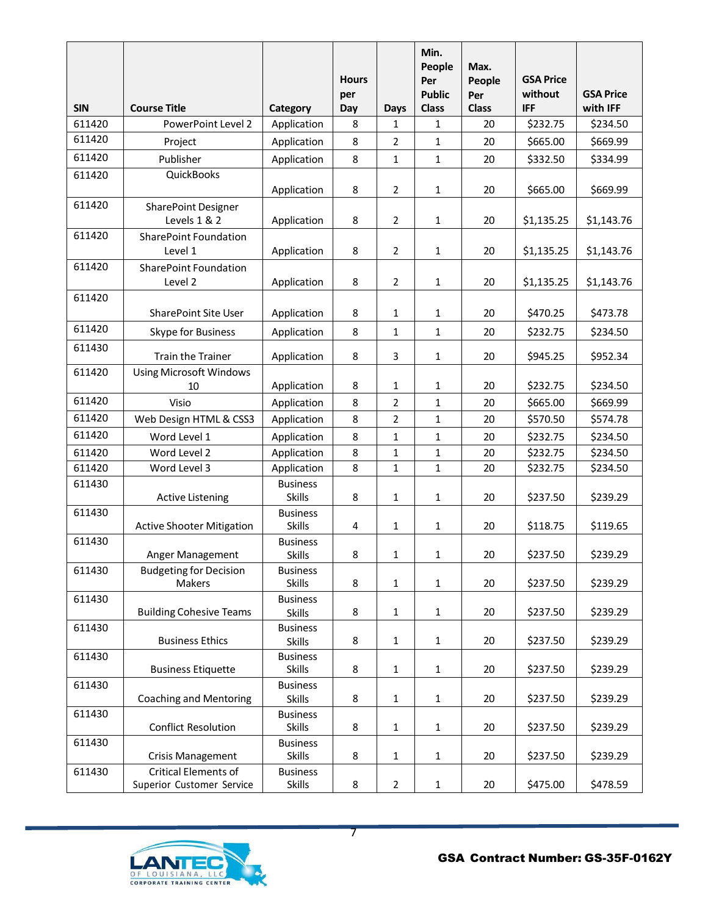| <b>SIN</b> | <b>Course Title</b>                                      | Category                         | <b>Hours</b><br>per<br>Day | <b>Days</b>    | Min.<br>People<br>Per<br><b>Public</b><br><b>Class</b> | Max.<br>People<br>Per<br><b>Class</b> | <b>GSA Price</b><br>without<br><b>IFF</b> | <b>GSA Price</b><br>with IFF |
|------------|----------------------------------------------------------|----------------------------------|----------------------------|----------------|--------------------------------------------------------|---------------------------------------|-------------------------------------------|------------------------------|
| 611420     | PowerPoint Level 2                                       | Application                      | 8                          | $\mathbf{1}$   | 1                                                      | 20                                    | \$232.75                                  | \$234.50                     |
| 611420     | Project                                                  | Application                      | 8                          | 2              | 1                                                      | 20                                    | \$665.00                                  | \$669.99                     |
| 611420     | Publisher                                                | Application                      | 8                          | 1              | $\mathbf{1}$                                           | 20                                    | \$332.50                                  | \$334.99                     |
| 611420     | QuickBooks                                               | Application                      | 8                          | 2              | $\mathbf{1}$                                           | 20                                    | \$665.00                                  | \$669.99                     |
| 611420     | SharePoint Designer<br>Levels 1 & 2                      | Application                      | 8                          | $\overline{2}$ | 1                                                      | 20                                    | \$1,135.25                                | \$1,143.76                   |
| 611420     | <b>SharePoint Foundation</b>                             |                                  |                            |                |                                                        |                                       |                                           |                              |
|            | Level 1                                                  | Application                      | 8                          | 2              | 1                                                      | 20                                    | \$1,135.25                                | \$1,143.76                   |
| 611420     | <b>SharePoint Foundation</b>                             |                                  |                            |                |                                                        |                                       |                                           |                              |
|            | Level 2                                                  | Application                      | 8                          | $\overline{2}$ | $\mathbf{1}$                                           | 20                                    | \$1,135.25                                | \$1,143.76                   |
| 611420     | <b>SharePoint Site User</b>                              | Application                      | 8                          | 1              | 1                                                      | 20                                    | \$470.25                                  | \$473.78                     |
| 611420     |                                                          |                                  |                            |                |                                                        |                                       |                                           |                              |
|            | Skype for Business                                       | Application                      | 8                          | 1              | $\mathbf{1}$                                           | 20                                    | \$232.75                                  | \$234.50                     |
| 611430     | <b>Train the Trainer</b>                                 | Application                      | 8                          | 3              | $\mathbf{1}$                                           | 20                                    | \$945.25                                  | \$952.34                     |
| 611420     | <b>Using Microsoft Windows</b><br>10                     | Application                      | 8                          | 1              | 1                                                      | 20                                    | \$232.75                                  | \$234.50                     |
| 611420     | Visio                                                    | Application                      | 8                          | $\overline{2}$ | $\mathbf{1}$                                           | 20                                    | \$665.00                                  | \$669.99                     |
| 611420     | Web Design HTML & CSS3                                   | Application                      | 8                          | $\overline{2}$ | 1                                                      | 20                                    | \$570.50                                  | \$574.78                     |
| 611420     | Word Level 1                                             | Application                      | 8                          | 1              | $\mathbf{1}$                                           | 20                                    | \$232.75                                  | \$234.50                     |
| 611420     | Word Level 2                                             | Application                      | 8                          | $\mathbf{1}$   | 1                                                      | 20                                    | \$232.75                                  | \$234.50                     |
| 611420     | Word Level 3                                             | Application                      | 8                          | 1              | 1                                                      | 20                                    | \$232.75                                  | \$234.50                     |
| 611430     | <b>Active Listening</b>                                  | <b>Business</b><br><b>Skills</b> | 8                          | 1              | $\mathbf 1$                                            | 20                                    | \$237.50                                  | \$239.29                     |
| 611430     | <b>Active Shooter Mitigation</b>                         | <b>Business</b><br><b>Skills</b> | 4                          | 1              | $\mathbf 1$                                            | 20                                    | \$118.75                                  | \$119.65                     |
| 611430     | Anger Management                                         | <b>Business</b><br><b>Skills</b> | 8                          | 1              | 1                                                      | 20                                    | \$237.50                                  | \$239.29                     |
| 611430     | <b>Budgeting for Decision</b><br>Makers                  | <b>Business</b><br><b>Skills</b> | 8                          | 1              | $\mathbf{1}$                                           | 20                                    | \$237.50                                  | \$239.29                     |
| 611430     | <b>Building Cohesive Teams</b>                           | <b>Business</b><br><b>Skills</b> | 8                          | $\mathbf{1}$   | $\mathbf{1}$                                           | 20                                    | \$237.50                                  | \$239.29                     |
| 611430     | <b>Business Ethics</b>                                   | <b>Business</b><br><b>Skills</b> | 8                          | 1              | $\mathbf 1$                                            | 20                                    | \$237.50                                  | \$239.29                     |
| 611430     | <b>Business Etiquette</b>                                | <b>Business</b><br><b>Skills</b> | 8                          | 1              | $\mathbf 1$                                            | 20                                    | \$237.50                                  | \$239.29                     |
| 611430     | <b>Coaching and Mentoring</b>                            | <b>Business</b><br><b>Skills</b> | 8                          | $\mathbf 1$    | $\mathbf{1}$                                           | 20                                    | \$237.50                                  | \$239.29                     |
| 611430     | <b>Conflict Resolution</b>                               | <b>Business</b><br><b>Skills</b> | 8                          | 1              | $\mathbf{1}$                                           | 20                                    | \$237.50                                  | \$239.29                     |
| 611430     | Crisis Management                                        | <b>Business</b><br>Skills        | 8                          | 1              | $\mathbf{1}$                                           | 20                                    | \$237.50                                  | \$239.29                     |
| 611430     | <b>Critical Elements of</b><br>Superior Customer Service | <b>Business</b><br>Skills        | 8                          | $\overline{2}$ | $\mathbf{1}$                                           | 20                                    | \$475.00                                  | \$478.59                     |

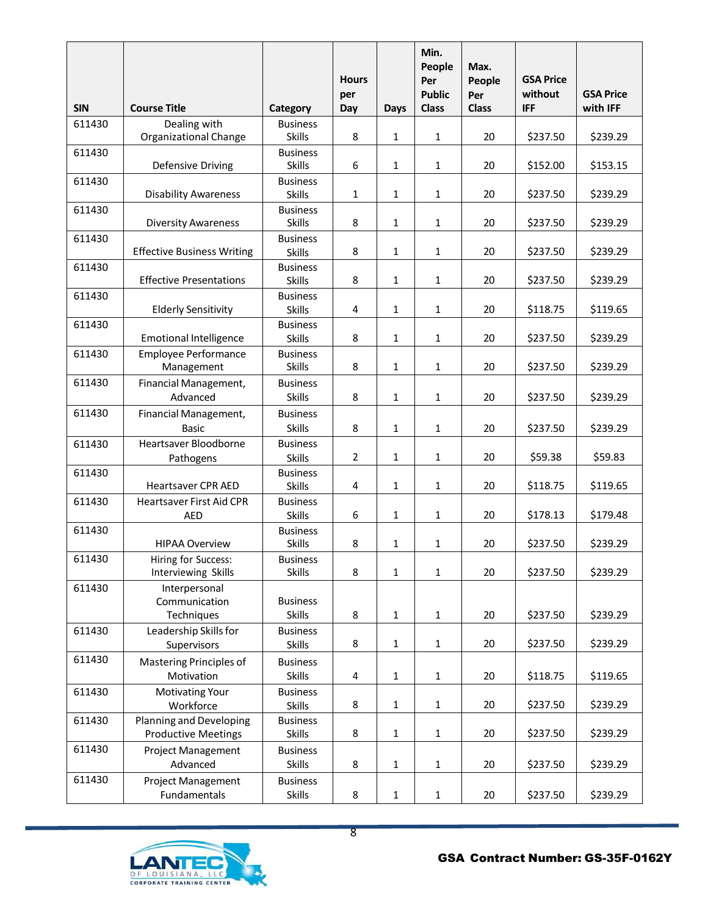| <b>SIN</b> | <b>Course Title</b>                                   | Category                         | <b>Hours</b><br>per<br>Day | Days         | Min.<br>People<br>Per<br><b>Public</b><br><b>Class</b> | Max.<br>People<br>Per<br><b>Class</b> | <b>GSA Price</b><br>without<br><b>IFF</b> | <b>GSA Price</b><br>with IFF |
|------------|-------------------------------------------------------|----------------------------------|----------------------------|--------------|--------------------------------------------------------|---------------------------------------|-------------------------------------------|------------------------------|
| 611430     | Dealing with                                          | <b>Business</b><br><b>Skills</b> | 8                          |              |                                                        |                                       |                                           | \$239.29                     |
| 611430     | Organizational Change                                 | <b>Business</b>                  |                            | 1            | $\mathbf{1}$                                           | 20                                    | \$237.50                                  |                              |
|            | Defensive Driving                                     | <b>Skills</b>                    | 6                          | $\mathbf{1}$ | 1                                                      | 20                                    | \$152.00                                  | \$153.15                     |
| 611430     | <b>Disability Awareness</b>                           | <b>Business</b><br><b>Skills</b> | $\mathbf{1}$               | 1            | $\mathbf{1}$                                           | 20                                    | \$237.50                                  | \$239.29                     |
| 611430     | <b>Diversity Awareness</b>                            | <b>Business</b><br><b>Skills</b> | 8                          | $\mathbf{1}$ | 1                                                      | 20                                    | \$237.50                                  | \$239.29                     |
| 611430     |                                                       | <b>Business</b>                  |                            |              |                                                        |                                       |                                           |                              |
|            | <b>Effective Business Writing</b>                     | <b>Skills</b>                    | 8                          | 1            | 1                                                      | 20                                    | \$237.50                                  | \$239.29                     |
| 611430     | <b>Effective Presentations</b>                        | <b>Business</b><br><b>Skills</b> | 8                          | 1            | 1                                                      | 20                                    | \$237.50                                  | \$239.29                     |
| 611430     | <b>Elderly Sensitivity</b>                            | <b>Business</b><br><b>Skills</b> | 4                          | 1            | 1                                                      | 20                                    | \$118.75                                  | \$119.65                     |
| 611430     |                                                       | <b>Business</b>                  |                            |              |                                                        |                                       |                                           |                              |
|            | <b>Emotional Intelligence</b>                         | <b>Skills</b>                    | 8                          | $\mathbf{1}$ | $\mathbf{1}$                                           | 20                                    | \$237.50                                  | \$239.29                     |
| 611430     | Employee Performance<br>Management                    | <b>Business</b><br><b>Skills</b> | 8                          | 1            | $\mathbf{1}$                                           | 20                                    | \$237.50                                  | \$239.29                     |
| 611430     | Financial Management,                                 | <b>Business</b>                  |                            |              |                                                        |                                       |                                           |                              |
|            | Advanced                                              | <b>Skills</b>                    | 8                          | 1            | 1                                                      | 20                                    | \$237.50                                  | \$239.29                     |
| 611430     | Financial Management,<br><b>Basic</b>                 | <b>Business</b><br><b>Skills</b> | 8                          | $\mathbf{1}$ | 1                                                      | 20                                    | \$237.50                                  | \$239.29                     |
| 611430     | Heartsaver Bloodborne                                 | <b>Business</b>                  |                            |              |                                                        |                                       |                                           |                              |
|            | Pathogens                                             | <b>Skills</b>                    | 2                          | $\mathbf{1}$ | $\mathbf{1}$                                           | 20                                    | \$59.38                                   | \$59.83                      |
| 611430     | <b>Heartsaver CPR AED</b>                             | <b>Business</b><br><b>Skills</b> | 4                          | $\mathbf{1}$ | 1                                                      | 20                                    | \$118.75                                  | \$119.65                     |
| 611430     | <b>Heartsaver First Aid CPR</b>                       | <b>Business</b>                  |                            |              |                                                        |                                       |                                           |                              |
| 611430     | <b>AED</b>                                            | <b>Skills</b><br><b>Business</b> | 6                          | $\mathbf{1}$ | 1                                                      | 20                                    | \$178.13                                  | \$179.48                     |
|            | <b>HIPAA Overview</b>                                 | <b>Skills</b>                    | 8                          | 1            | 1                                                      | 20                                    | \$237.50                                  | \$239.29                     |
| 611430     | Hiring for Success:<br>Interviewing Skills            | <b>Business</b><br><b>Skills</b> | 8                          | $\mathbf{1}$ | 1                                                      | 20                                    | \$237.50                                  | \$239.29                     |
| 611430     | Interpersonal                                         |                                  |                            |              |                                                        |                                       |                                           |                              |
|            | Communication<br>Techniques                           | <b>Business</b><br><b>Skills</b> | 8                          | $1\,$        | $\mathbf{1}$                                           | 20                                    | \$237.50                                  | \$239.29                     |
| 611430     | Leadership Skills for<br>Supervisors                  | <b>Business</b><br><b>Skills</b> | 8                          | $\mathbf{1}$ | $\mathbf{1}$                                           | 20                                    | \$237.50                                  | \$239.29                     |
| 611430     | Mastering Principles of                               | <b>Business</b>                  |                            |              |                                                        |                                       |                                           |                              |
|            | Motivation                                            | <b>Skills</b>                    | 4                          | $\mathbf{1}$ | $\mathbf{1}$                                           | 20                                    | \$118.75                                  | \$119.65                     |
| 611430     | <b>Motivating Your</b><br>Workforce                   | <b>Business</b><br><b>Skills</b> | 8                          | $\mathbf{1}$ | $\mathbf{1}$                                           | 20                                    | \$237.50                                  | \$239.29                     |
| 611430     | Planning and Developing<br><b>Productive Meetings</b> | <b>Business</b><br><b>Skills</b> | 8                          | $\mathbf 1$  | $\mathbf{1}$                                           | 20                                    | \$237.50                                  | \$239.29                     |
| 611430     | <b>Project Management</b>                             | <b>Business</b>                  |                            |              |                                                        |                                       |                                           |                              |
|            | Advanced                                              | <b>Skills</b>                    | 8                          | $\mathbf 1$  | $\mathbf{1}$                                           | 20                                    | \$237.50                                  | \$239.29                     |
| 611430     | Project Management<br>Fundamentals                    | <b>Business</b><br>Skills        | 8                          | $\mathbf{1}$ | $\mathbf{1}$                                           | 20                                    | \$237.50                                  | \$239.29                     |
|            |                                                       |                                  |                            |              |                                                        |                                       |                                           |                              |



8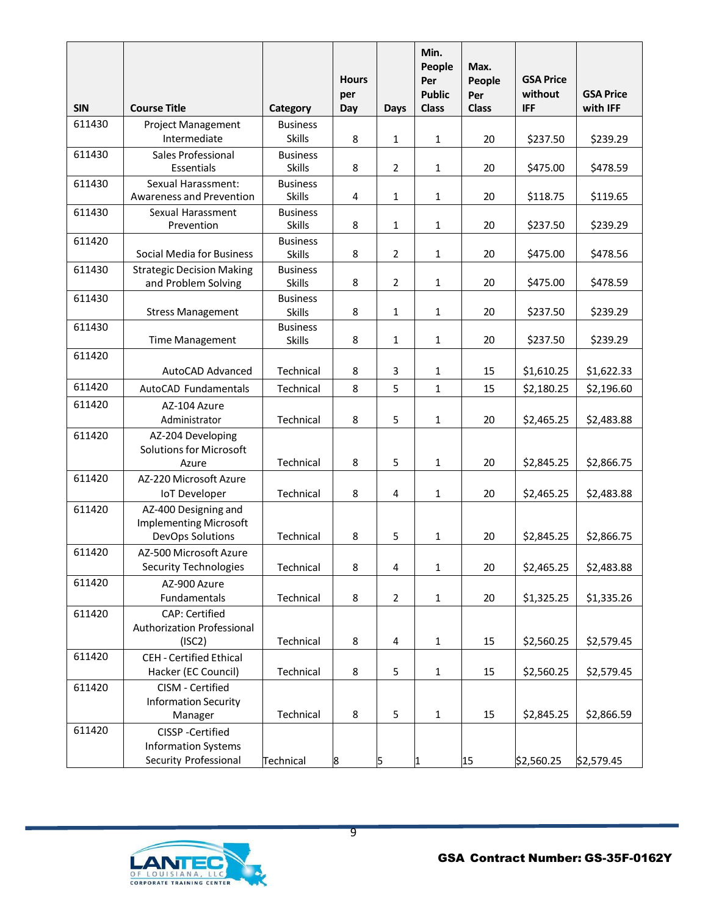|            |                                                       |                                  | <b>Hours</b> |                         | Min.<br>People<br>Per         | Max.<br>People      | <b>GSA Price</b>      |                              |
|------------|-------------------------------------------------------|----------------------------------|--------------|-------------------------|-------------------------------|---------------------|-----------------------|------------------------------|
| <b>SIN</b> | <b>Course Title</b>                                   | Category                         | per<br>Day   | <b>Days</b>             | <b>Public</b><br><b>Class</b> | Per<br><b>Class</b> | without<br><b>IFF</b> | <b>GSA Price</b><br>with IFF |
| 611430     | <b>Project Management</b>                             | <b>Business</b>                  |              |                         |                               |                     |                       |                              |
|            | Intermediate                                          | <b>Skills</b>                    | 8            | 1                       | 1                             | 20                  | \$237.50              | \$239.29                     |
| 611430     | Sales Professional                                    | <b>Business</b>                  |              |                         |                               |                     |                       |                              |
|            | Essentials                                            | <b>Skills</b>                    | 8            | $\overline{2}$          | $\mathbf{1}$                  | 20                  | \$475.00              | \$478.59                     |
| 611430     | <b>Sexual Harassment:</b><br>Awareness and Prevention | <b>Business</b><br><b>Skills</b> | 4            | 1                       | $\mathbf{1}$                  | 20                  | \$118.75              | \$119.65                     |
| 611430     | Sexual Harassment                                     | <b>Business</b>                  |              |                         |                               |                     |                       |                              |
|            | Prevention                                            | <b>Skills</b>                    | 8            | 1                       | 1                             | 20                  | \$237.50              | \$239.29                     |
| 611420     |                                                       | <b>Business</b>                  |              |                         |                               |                     |                       |                              |
|            | Social Media for Business                             | <b>Skills</b>                    | 8            | $\overline{2}$          | 1                             | 20                  | \$475.00              | \$478.56                     |
| 611430     | <b>Strategic Decision Making</b>                      | <b>Business</b>                  |              |                         |                               |                     |                       |                              |
| 611430     | and Problem Solving                                   | <b>Skills</b><br><b>Business</b> | 8            | $\overline{2}$          | $\mathbf{1}$                  | 20                  | \$475.00              | \$478.59                     |
|            | <b>Stress Management</b>                              | <b>Skills</b>                    | 8            | $\mathbf{1}$            | $\mathbf{1}$                  | 20                  | \$237.50              | \$239.29                     |
| 611430     |                                                       | <b>Business</b>                  |              |                         |                               |                     |                       |                              |
|            | <b>Time Management</b>                                | <b>Skills</b>                    | 8            | $\mathbf{1}$            | 1                             | 20                  | \$237.50              | \$239.29                     |
| 611420     |                                                       |                                  |              |                         |                               |                     |                       |                              |
|            | <b>AutoCAD Advanced</b>                               | Technical                        | 8            | 3                       | 1                             | 15                  | \$1,610.25            | \$1,622.33                   |
| 611420     | AutoCAD Fundamentals                                  | Technical                        | 8            | 5                       | $\mathbf{1}$                  | 15                  | \$2,180.25            | \$2,196.60                   |
| 611420     | AZ-104 Azure                                          |                                  |              |                         |                               |                     |                       |                              |
| 611420     | Administrator<br>AZ-204 Developing                    | Technical                        | 8            | 5                       | 1                             | 20                  | \$2,465.25            | \$2,483.88                   |
|            | <b>Solutions for Microsoft</b>                        |                                  |              |                         |                               |                     |                       |                              |
|            | Azure                                                 | Technical                        | 8            | 5                       | 1                             | 20                  | \$2,845.25            | \$2,866.75                   |
| 611420     | AZ-220 Microsoft Azure                                |                                  |              |                         |                               |                     |                       |                              |
|            | <b>IoT</b> Developer                                  | Technical                        | 8            | 4                       | $\mathbf{1}$                  | 20                  | \$2,465.25            | \$2,483.88                   |
| 611420     | AZ-400 Designing and                                  |                                  |              |                         |                               |                     |                       |                              |
|            | <b>Implementing Microsoft</b><br>DevOps Solutions     | Technical                        | 8            | 5                       | 1                             | 20                  | \$2,845.25            | \$2,866.75                   |
| 611420     | AZ-500 Microsoft Azure                                |                                  |              |                         |                               |                     |                       |                              |
|            | <b>Security Technologies</b>                          | Technical                        | 8            | $\overline{\mathbf{4}}$ | $\mathbf{1}$                  | 20                  | \$2,465.25            | \$2,483.88                   |
| 611420     | AZ-900 Azure                                          |                                  |              |                         |                               |                     |                       |                              |
|            | Fundamentals                                          | Technical                        | 8            | $\overline{2}$          | $\mathbf{1}$                  | 20                  | \$1,325.25            | \$1,335.26                   |
| 611420     | <b>CAP: Certified</b>                                 |                                  |              |                         |                               |                     |                       |                              |
|            | Authorization Professional                            |                                  |              |                         |                               |                     |                       |                              |
|            | (ISC2)                                                | Technical                        | 8            | 4                       | $\mathbf{1}$                  | 15                  | \$2,560.25            | \$2,579.45                   |
| 611420     | <b>CEH - Certified Ethical</b><br>Hacker (EC Council) | Technical                        | 8            | 5                       | $\mathbf{1}$                  | 15                  | \$2,560.25            | \$2,579.45                   |
| 611420     | CISM - Certified                                      |                                  |              |                         |                               |                     |                       |                              |
|            | <b>Information Security</b>                           |                                  |              |                         |                               |                     |                       |                              |
|            | Manager                                               | Technical                        | 8            | 5                       | 1                             | 15                  | \$2,845.25            | \$2,866.59                   |
| 611420     | CISSP-Certified                                       |                                  |              |                         |                               |                     |                       |                              |
|            | <b>Information Systems</b>                            |                                  |              |                         |                               |                     |                       |                              |
|            | Security Professional                                 | Technical                        | 8            | 5                       | 1                             | 15                  | \$2,560.25            | \$2,579.45                   |



9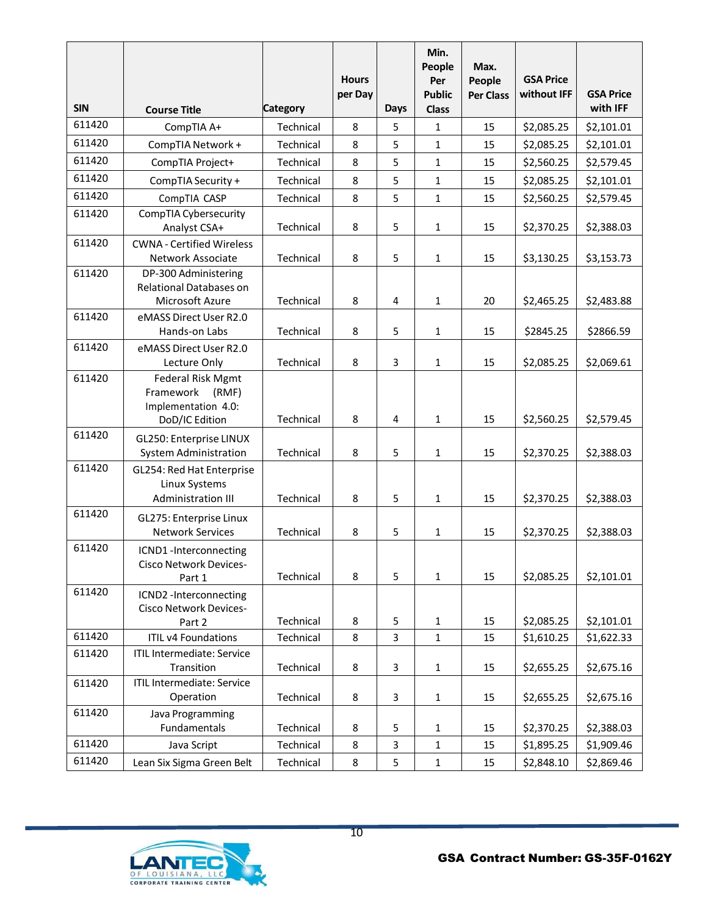|            |                                                                                         |                 | <b>Hours</b><br>per Day |                | Min.<br>People<br>Per<br><b>Public</b> | Max.<br>People<br><b>Per Class</b> | <b>GSA Price</b><br>without IFF | <b>GSA Price</b> |
|------------|-----------------------------------------------------------------------------------------|-----------------|-------------------------|----------------|----------------------------------------|------------------------------------|---------------------------------|------------------|
| <b>SIN</b> | <b>Course Title</b>                                                                     | <b>Category</b> |                         | <b>Days</b>    | <b>Class</b>                           |                                    |                                 | with IFF         |
| 611420     | CompTIA A+                                                                              | Technical       | 8                       | 5              | 1                                      | 15                                 | \$2,085.25                      | \$2,101.01       |
| 611420     | CompTIA Network +                                                                       | Technical       | 8                       | 5              | $\mathbf{1}$                           | 15                                 | \$2,085.25                      | \$2,101.01       |
| 611420     | CompTIA Project+                                                                        | Technical       | 8                       | 5              | 1                                      | 15                                 | \$2,560.25                      | \$2,579.45       |
| 611420     | CompTIA Security +                                                                      | Technical       | 8                       | 5              | $\mathbf{1}$                           | 15                                 | \$2,085.25                      | \$2,101.01       |
| 611420     | CompTIA CASP                                                                            | Technical       | 8                       | 5              | $\mathbf{1}$                           | 15                                 | \$2,560.25                      | \$2,579.45       |
| 611420     | CompTIA Cybersecurity                                                                   |                 |                         |                |                                        |                                    |                                 |                  |
|            | Analyst CSA+                                                                            | Technical       | 8                       | 5              | 1                                      | 15                                 | \$2,370.25                      | \$2,388.03       |
| 611420     | <b>CWNA - Certified Wireless</b>                                                        |                 |                         |                |                                        |                                    |                                 |                  |
|            | Network Associate                                                                       | Technical       | 8                       | 5              | 1                                      | 15                                 | \$3,130.25                      | \$3,153.73       |
| 611420     | DP-300 Administering                                                                    |                 |                         |                |                                        |                                    |                                 |                  |
|            | <b>Relational Databases on</b><br>Microsoft Azure                                       | Technical       | 8                       | 4              | $\mathbf{1}$                           | 20                                 | \$2,465.25                      | \$2,483.88       |
| 611420     | eMASS Direct User R2.0                                                                  |                 |                         |                |                                        |                                    |                                 |                  |
|            | Hands-on Labs                                                                           | Technical       | 8                       | 5              | $\mathbf{1}$                           | 15                                 | \$2845.25                       | \$2866.59        |
| 611420     | eMASS Direct User R2.0                                                                  |                 |                         |                |                                        |                                    |                                 |                  |
|            | Lecture Only                                                                            | Technical       | 8                       | 3              | $\mathbf{1}$                           | 15                                 | \$2,085.25                      | \$2,069.61       |
| 611420     | <b>Federal Risk Mgmt</b><br>Framework<br>(RMF)<br>Implementation 4.0:<br>DoD/IC Edition | Technical       | 8                       | 4              | 1                                      | 15                                 | \$2,560.25                      | \$2,579.45       |
| 611420     | GL250: Enterprise LINUX                                                                 |                 |                         |                |                                        |                                    |                                 |                  |
|            | <b>System Administration</b>                                                            | Technical       | 8                       | 5              | $\mathbf{1}$                           | 15                                 | \$2,370.25                      | \$2,388.03       |
| 611420     | GL254: Red Hat Enterprise<br>Linux Systems<br>Administration III                        | Technical       | 8                       | 5              | 1                                      | 15                                 | \$2,370.25                      | \$2,388.03       |
| 611420     | GL275: Enterprise Linux                                                                 |                 |                         |                |                                        |                                    |                                 |                  |
|            | <b>Network Services</b>                                                                 | Technical       | 8                       | 5              | 1                                      | 15                                 | \$2,370.25                      | \$2,388.03       |
| 611420     | ICND1-Interconnecting<br><b>Cisco Network Devices-</b><br>Part 1                        | Technical       | 8                       | 5              | $\mathbf{1}$                           | 15                                 | \$2,085.25                      | \$2,101.01       |
| 611420     | ICND2 -Interconnecting<br>Cisco Network Devices-<br>Part 2                              | Technical       | 8                       | 5              | 1                                      | 15                                 | \$2,085.25                      | \$2,101.01       |
| 611420     | <b>ITIL v4 Foundations</b>                                                              | Technical       | 8                       | $\overline{3}$ | $\mathbf{1}$                           | 15                                 | \$1,610.25                      | \$1,622.33       |
| 611420     | <b>ITIL Intermediate: Service</b><br>Transition                                         | Technical       | 8                       | 3              | $\mathbf{1}$                           | 15                                 | \$2,655.25                      | \$2,675.16       |
| 611420     | <b>ITIL Intermediate: Service</b><br>Operation                                          | Technical       | 8                       | 3              | $\mathbf{1}$                           | 15                                 | \$2,655.25                      | \$2,675.16       |
| 611420     | Java Programming<br>Fundamentals                                                        | Technical       | 8                       | 5              | $\mathbf{1}$                           | 15                                 | \$2,370.25                      | \$2,388.03       |
| 611420     | Java Script                                                                             | Technical       | 8                       | 3              | $\mathbf 1$                            | 15                                 | \$1,895.25                      | \$1,909.46       |
| 611420     | Lean Six Sigma Green Belt                                                               | Technical       | 8                       | 5              | $\mathbf 1$                            | 15                                 | \$2,848.10                      | \$2,869.46       |

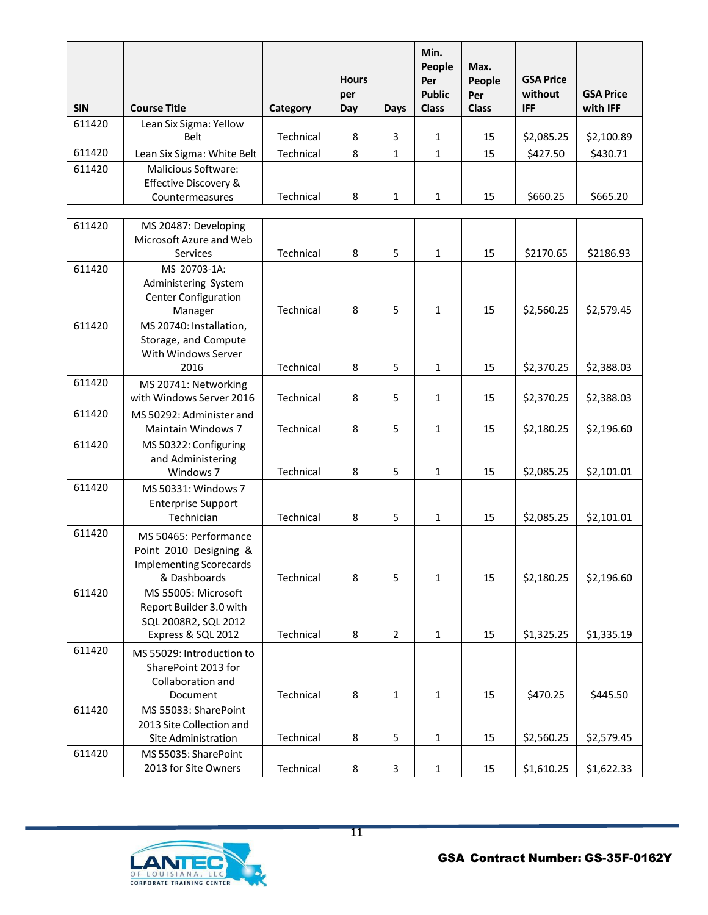| <b>SIN</b> | <b>Course Title</b>        | Category  | <b>Hours</b><br>per<br>Day | Days | Min.<br>People<br>Per<br><b>Public</b><br><b>Class</b> | Max.<br>People<br>Per<br><b>Class</b> | <b>GSA Price</b><br>without<br><b>IFF</b> | <b>GSA Price</b><br>with IFF |
|------------|----------------------------|-----------|----------------------------|------|--------------------------------------------------------|---------------------------------------|-------------------------------------------|------------------------------|
| 611420     | Lean Six Sigma: Yellow     |           |                            |      |                                                        |                                       |                                           |                              |
|            | Belt                       | Technical | 8                          | 3    | 1                                                      | 15                                    | \$2,085.25                                | \$2,100.89                   |
| 611420     | Lean Six Sigma: White Belt | Technical | 8                          | 1    | 1                                                      | 15                                    | \$427.50                                  | \$430.71                     |
| 611420     | Malicious Software:        |           |                            |      |                                                        |                                       |                                           |                              |
|            | Effective Discovery &      |           |                            |      |                                                        |                                       |                                           |                              |
|            | Countermeasures            | Technical | 8                          | 1    | 1                                                      | 15                                    | \$660.25                                  | \$665.20                     |

| 611420 | MS 20487: Developing                                                                              |           |   |                |              |    |            |            |
|--------|---------------------------------------------------------------------------------------------------|-----------|---|----------------|--------------|----|------------|------------|
|        | Microsoft Azure and Web<br>Services                                                               | Technical | 8 | 5              | $\mathbf 1$  | 15 | \$2170.65  | \$2186.93  |
| 611420 | MS 20703-1A:<br>Administering System<br>Center Configuration<br>Manager                           | Technical | 8 | 5              | $\mathbf{1}$ | 15 | \$2,560.25 | \$2,579.45 |
| 611420 | MS 20740: Installation,<br>Storage, and Compute<br>With Windows Server<br>2016                    | Technical | 8 | 5              | 1            | 15 | \$2,370.25 | \$2,388.03 |
| 611420 | MS 20741: Networking<br>with Windows Server 2016                                                  | Technical | 8 | 5              | 1            | 15 | \$2,370.25 | \$2,388.03 |
| 611420 | MS 50292: Administer and<br><b>Maintain Windows 7</b>                                             | Technical | 8 | 5              | $\mathbf{1}$ | 15 | \$2,180.25 | \$2,196.60 |
| 611420 | MS 50322: Configuring<br>and Administering<br>Windows 7                                           | Technical | 8 | 5              | 1            | 15 | \$2,085.25 | \$2,101.01 |
| 611420 | MS 50331: Windows 7<br><b>Enterprise Support</b><br>Technician                                    | Technical | 8 | 5              | 1            | 15 | \$2,085.25 | \$2,101.01 |
| 611420 | MS 50465: Performance<br>Point 2010 Designing &<br><b>Implementing Scorecards</b><br>& Dashboards | Technical | 8 | 5              | 1            | 15 | \$2,180.25 | \$2,196.60 |
| 611420 | MS 55005: Microsoft<br>Report Builder 3.0 with<br>SQL 2008R2, SQL 2012<br>Express & SQL 2012      | Technical | 8 | $\overline{2}$ | $\mathbf 1$  | 15 | \$1,325.25 | \$1,335.19 |
| 611420 | MS 55029: Introduction to<br>SharePoint 2013 for<br>Collaboration and<br>Document                 | Technical | 8 | $\mathbf{1}$   | $\mathbf{1}$ | 15 | \$470.25   | \$445.50   |
| 611420 | MS 55033: SharePoint<br>2013 Site Collection and<br>Site Administration                           | Technical | 8 | 5              | $\mathbf{1}$ | 15 | \$2,560.25 | \$2,579.45 |
| 611420 | MS 55035: SharePoint<br>2013 for Site Owners                                                      | Technical | 8 | 3              | $\mathbf 1$  | 15 | \$1,610.25 | \$1,622.33 |

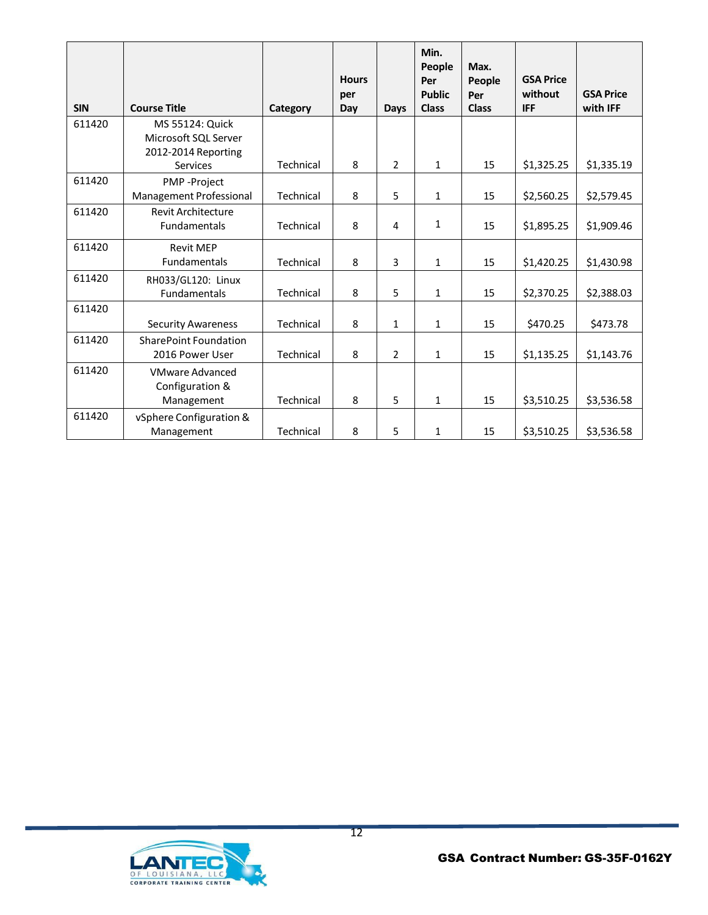| <b>SIN</b> | <b>Course Title</b>          | Category  | <b>Hours</b><br>per<br>Day | <b>Days</b>    | Min.<br>People<br>Per<br><b>Public</b><br><b>Class</b> | Max.<br>People<br>Per<br><b>Class</b> | <b>GSA Price</b><br>without<br><b>IFF</b> | <b>GSA Price</b><br>with IFF |
|------------|------------------------------|-----------|----------------------------|----------------|--------------------------------------------------------|---------------------------------------|-------------------------------------------|------------------------------|
| 611420     | MS 55124: Quick              |           |                            |                |                                                        |                                       |                                           |                              |
|            | Microsoft SQL Server         |           |                            |                |                                                        |                                       |                                           |                              |
|            | 2012-2014 Reporting          |           |                            |                |                                                        |                                       |                                           |                              |
|            | Services                     | Technical | 8                          | $\overline{2}$ | 1                                                      | 15                                    | \$1,325.25                                | \$1,335.19                   |
| 611420     | PMP-Project                  |           |                            |                |                                                        |                                       |                                           |                              |
|            | Management Professional      | Technical | 8                          | 5              | 1                                                      | 15                                    | \$2,560.25                                | \$2,579.45                   |
| 611420     | <b>Revit Architecture</b>    |           |                            |                |                                                        |                                       |                                           |                              |
|            | <b>Fundamentals</b>          | Technical | 8                          | 4              | 1                                                      | 15                                    | \$1,895.25                                | \$1,909.46                   |
| 611420     | <b>Revit MEP</b>             |           |                            |                |                                                        |                                       |                                           |                              |
|            | Fundamentals                 | Technical | 8                          | 3              | 1                                                      | 15                                    | \$1,420.25                                | \$1,430.98                   |
| 611420     | RH033/GL120: Linux           |           |                            |                |                                                        |                                       |                                           |                              |
|            | Fundamentals                 | Technical | 8                          | 5              | 1                                                      | 15                                    | \$2,370.25                                | \$2,388.03                   |
| 611420     |                              |           |                            |                |                                                        |                                       |                                           |                              |
|            | <b>Security Awareness</b>    | Technical | 8                          | $\mathbf{1}$   | 1                                                      | 15                                    | \$470.25                                  | \$473.78                     |
| 611420     | <b>SharePoint Foundation</b> |           |                            |                |                                                        |                                       |                                           |                              |
|            | 2016 Power User              | Technical | 8                          | $\overline{2}$ | $\mathbf{1}$                                           | 15                                    | \$1,135.25                                | \$1,143.76                   |
| 611420     | <b>VMware Advanced</b>       |           |                            |                |                                                        |                                       |                                           |                              |
|            | Configuration &              |           |                            |                |                                                        |                                       |                                           |                              |
|            | Management                   | Technical | 8                          | 5              | 1                                                      | 15                                    | \$3,510.25                                | \$3,536.58                   |
| 611420     | vSphere Configuration &      |           |                            |                |                                                        |                                       |                                           |                              |
|            | Management                   | Technical | 8                          | 5              | 1                                                      | 15                                    | \$3,510.25                                | \$3,536.58                   |